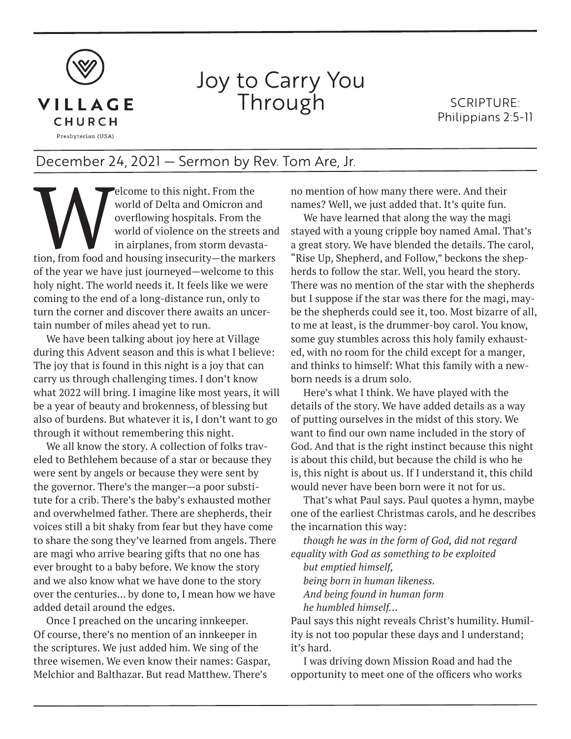

## Joy to Carry You Through

SCRIPTURE: Philippians 2:5-11

## December 24, 2021 — Sermon by Rev. Tom Are, Jr.

Elcome to this night. From the world of Delta and Omicron and overflowing hospitals. From the world of violence on the streets and in airplanes, from storm devastation, from food and housing insecurity—the markers world of Delta and Omicron and overflowing hospitals. From the world of violence on the streets and in airplanes, from storm devastaof the year we have just journeyed—welcome to this holy night. The world needs it. It feels like we were coming to the end of a long-distance run, only to turn the corner and discover there awaits an uncertain number of miles ahead yet to run.

We have been talking about joy here at Village during this Advent season and this is what I believe: The joy that is found in this night is a joy that can carry us through challenging times. I don't know what 2022 will bring. I imagine like most years, it will be a year of beauty and brokenness, of blessing but also of burdens. But whatever it is, I don't want to go through it without remembering this night.

We all know the story. A collection of folks traveled to Bethlehem because of a star or because they were sent by angels or because they were sent by the governor. There's the manger—a poor substitute for a crib. There's the baby's exhausted mother and overwhelmed father. There are shepherds, their voices still a bit shaky from fear but they have come to share the song they've learned from angels. There are magi who arrive bearing gifts that no one has ever brought to a baby before. We know the story and we also know what we have done to the story over the centuries... by done to, I mean how we have added detail around the edges.

Once I preached on the uncaring innkeeper. Of course, there's no mention of an innkeeper in the scriptures. We just added him. We sing of the three wisemen. We even know their names: Gaspar, Melchior and Balthazar. But read Matthew. There's

no mention of how many there were. And their names? Well, we just added that. It's quite fun.

We have learned that along the way the magi stayed with a young cripple boy named Amal. That's a great story. We have blended the details. The carol, "Rise Up, Shepherd, and Follow," beckons the shepherds to follow the star. Well, you heard the story. There was no mention of the star with the shepherds but I suppose if the star was there for the magi, maybe the shepherds could see it, too. Most bizarre of all, to me at least, is the drummer-boy carol. You know, some guy stumbles across this holy family exhausted, with no room for the child except for a manger, and thinks to himself: What this family with a newborn needs is a drum solo.

Here's what I think. We have played with the details of the story. We have added details as a way of putting ourselves in the midst of this story. We want to find our own name included in the story of God. And that is the right instinct because this night is about this child, but because the child is who he is, this night is about us. If I understand it, this child would never have been born were it not for us.

That's what Paul says. Paul quotes a hymn, maybe one of the earliest Christmas carols, and he describes the incarnation this way:

*though he was in the form of God, did not regard equality with God as something to be exploited*

*but emptied himself, being born in human likeness. And being found in human form he humbled himself…*

Paul says this night reveals Christ's humility. Humility is not too popular these days and I understand; it's hard.

I was driving down Mission Road and had the opportunity to meet one of the officers who works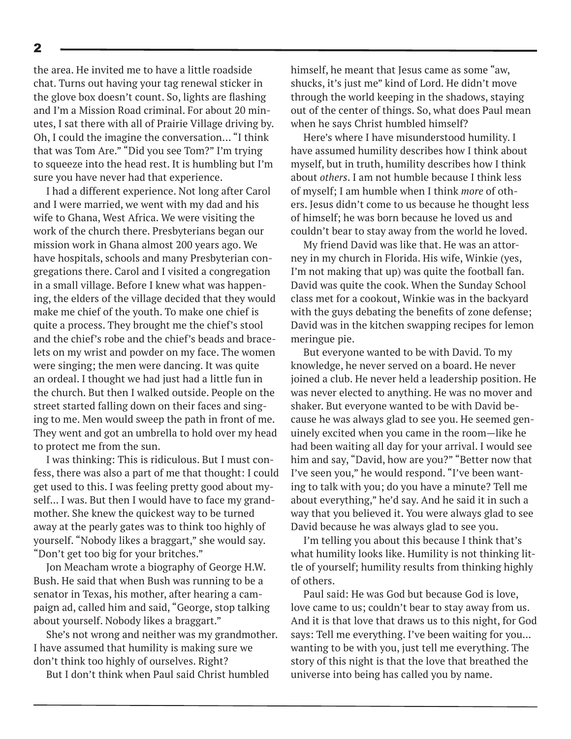the area. He invited me to have a little roadside chat. Turns out having your tag renewal sticker in the glove box doesn't count. So, lights are flashing and I'm a Mission Road criminal. For about 20 minutes, I sat there with all of Prairie Village driving by. Oh, I could the imagine the conversation… "I think that was Tom Are." "Did you see Tom?" I'm trying to squeeze into the head rest. It is humbling but I'm sure you have never had that experience.

I had a different experience. Not long after Carol and I were married, we went with my dad and his wife to Ghana, West Africa. We were visiting the work of the church there. Presbyterians began our mission work in Ghana almost 200 years ago. We have hospitals, schools and many Presbyterian congregations there. Carol and I visited a congregation in a small village. Before I knew what was happening, the elders of the village decided that they would make me chief of the youth. To make one chief is quite a process. They brought me the chief's stool and the chief's robe and the chief's beads and bracelets on my wrist and powder on my face. The women were singing; the men were dancing. It was quite an ordeal. I thought we had just had a little fun in the church. But then I walked outside. People on the street started falling down on their faces and singing to me. Men would sweep the path in front of me. They went and got an umbrella to hold over my head to protect me from the sun.

I was thinking: This is ridiculous. But I must confess, there was also a part of me that thought: I could get used to this. I was feeling pretty good about myself... I was. But then I would have to face my grandmother. She knew the quickest way to be turned away at the pearly gates was to think too highly of yourself. "Nobody likes a braggart," she would say. "Don't get too big for your britches."

Jon Meacham wrote a biography of George H.W. Bush. He said that when Bush was running to be a senator in Texas, his mother, after hearing a campaign ad, called him and said, "George, stop talking about yourself. Nobody likes a braggart."

She's not wrong and neither was my grandmother. I have assumed that humility is making sure we don't think too highly of ourselves. Right?

But I don't think when Paul said Christ humbled

himself, he meant that Jesus came as some "aw, shucks, it's just me" kind of Lord. He didn't move through the world keeping in the shadows, staying out of the center of things. So, what does Paul mean when he says Christ humbled himself?

Here's where I have misunderstood humility. I have assumed humility describes how I think about myself, but in truth, humility describes how I think about *others*. I am not humble because I think less of myself; I am humble when I think *more* of others. Jesus didn't come to us because he thought less of himself; he was born because he loved us and couldn't bear to stay away from the world he loved.

My friend David was like that. He was an attorney in my church in Florida. His wife, Winkie (yes, I'm not making that up) was quite the football fan. David was quite the cook. When the Sunday School class met for a cookout, Winkie was in the backyard with the guys debating the benefits of zone defense; David was in the kitchen swapping recipes for lemon meringue pie.

But everyone wanted to be with David. To my knowledge, he never served on a board. He never joined a club. He never held a leadership position. He was never elected to anything. He was no mover and shaker. But everyone wanted to be with David because he was always glad to see you. He seemed genuinely excited when you came in the room—like he had been waiting all day for your arrival. I would see him and say, "David, how are you?" "Better now that I've seen you," he would respond. "I've been wanting to talk with you; do you have a minute? Tell me about everything," he'd say. And he said it in such a way that you believed it. You were always glad to see David because he was always glad to see you.

I'm telling you about this because I think that's what humility looks like. Humility is not thinking little of yourself; humility results from thinking highly of others.

Paul said: He was God but because God is love, love came to us; couldn't bear to stay away from us. And it is that love that draws us to this night, for God says: Tell me everything. I've been waiting for you... wanting to be with you, just tell me everything. The story of this night is that the love that breathed the universe into being has called you by name.